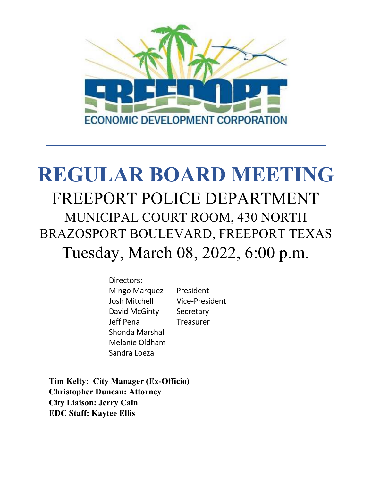

# **REGULAR BOARD MEETING** FREEPORT POLICE DEPARTMENT MUNICIPAL COURT ROOM, 430 NORTH BRAZOSPORT BOULEVARD, FREEPORT TEXAS Tuesday, March 08, 2022, 6:00 p.m.

Directors: Mingo Marquez President Josh Mitchell Vice-President David McGinty Secretary Jeff Pena Treasurer Shonda Marshall Melanie Oldham Sandra Loeza

**Tim Kelty: City Manager (Ex-Officio) Christopher Duncan: Attorney City Liaison: Jerry Cain EDC Staff: Kaytee Ellis**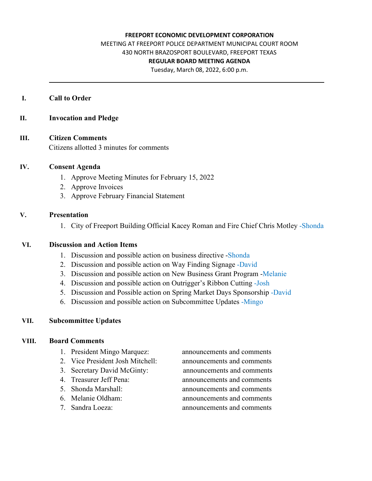#### **FREEPORT ECONOMIC DEVELOPMENT CORPORATION**

# MEETING AT FREEPORT POLICE DEPARTMENT MUNICIPAL COURT ROOM 430 NORTH BRAZOSPORT BOULEVARD, FREEPORT TEXAS **REGULAR BOARD MEETING AGENDA**

Tuesday, March 08, 2022, 6:00 p.m.

#### **I. Call to Order**

## **II. Invocation and Pledge**

#### **III. Citizen Comments**

Citizens allotted 3 minutes for comments

#### **IV. Consent Agenda**

- 1. Approve Meeting Minutes for February 15, 2022
- 2. Approve Invoices
- 3. Approve February Financial Statement

#### **V. Presentation**

1. City of Freeport Building Official Kacey Roman and Fire Chief Chris Motley -Shonda

## **VI. Discussion and Action Items**

- 1. Discussion and possible action on business directive -Shonda
- 2. Discussion and possible action on Way Finding Signage -David
- 3. Discussion and possible action on New Business Grant Program -Melanie
- 4. Discussion and possible action on Outrigger's Ribbon Cutting -Josh
- 5. Discussion and Possible action on Spring Market Days Sponsorship -David
- 6. Discussion and possible action on Subcommittee Updates -Mingo

# **VII. Subcommittee Updates**

#### **VIII. Board Comments**

- 1. President Mingo Marquez: announcements and comments
- 2. Vice President Josh Mitchell: announcements and comments
- 
- 
- 
- 
- 

3. Secretary David McGinty: announcements and comments 4. Treasurer Jeff Pena: announcements and comments 5. Shonda Marshall: announcements and comments 6. Melanie Oldham: announcements and comments 7. Sandra Loeza: announcements and comments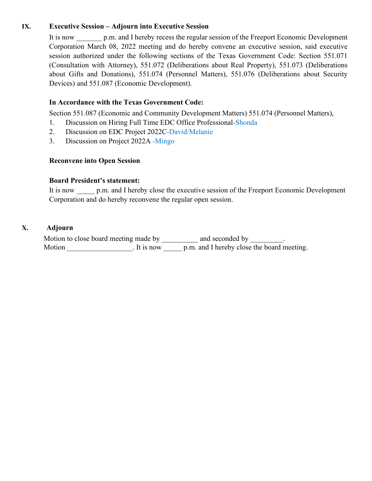# **IX. Executive Session – Adjourn into Executive Session**

It is now p.m. and I hereby recess the regular session of the Freeport Economic Development Corporation March 08, 2022 meeting and do hereby convene an executive session, said executive session authorized under the following sections of the Texas Government Code: Section 551.071 (Consultation with Attorney), 551.072 (Deliberations about Real Property), 551.073 (Deliberations about Gifts and Donations), 551.074 (Personnel Matters), 551.076 (Deliberations about Security Devices) and 551.087 (Economic Development).

# **In Accordance with the Texas Government Code:**

Section 551.087 (Economic and Community Development Matters) 551.074 (Personnel Matters),

- 1. Discussion on Hiring Full Time EDC Office Professional-Shonda
- 2. Discussion on EDC Project 2022C-David/Melanie
- 3. Discussion on Project 2022A -Mingo

#### **Reconvene into Open Session**

#### **Board President's statement:**

It is now p.m. and I hereby close the executive session of the Freeport Economic Development Corporation and do hereby reconvene the regular open session.

#### **X. Adjourn**

Motion to close board meeting made by \_\_\_\_\_\_\_\_\_\_ and seconded by \_\_\_\_\_\_\_\_\_. Motion \_\_\_\_\_\_\_\_\_\_\_\_\_\_\_\_\_\_. It is now \_\_\_\_\_\_ p.m. and I hereby close the board meeting.